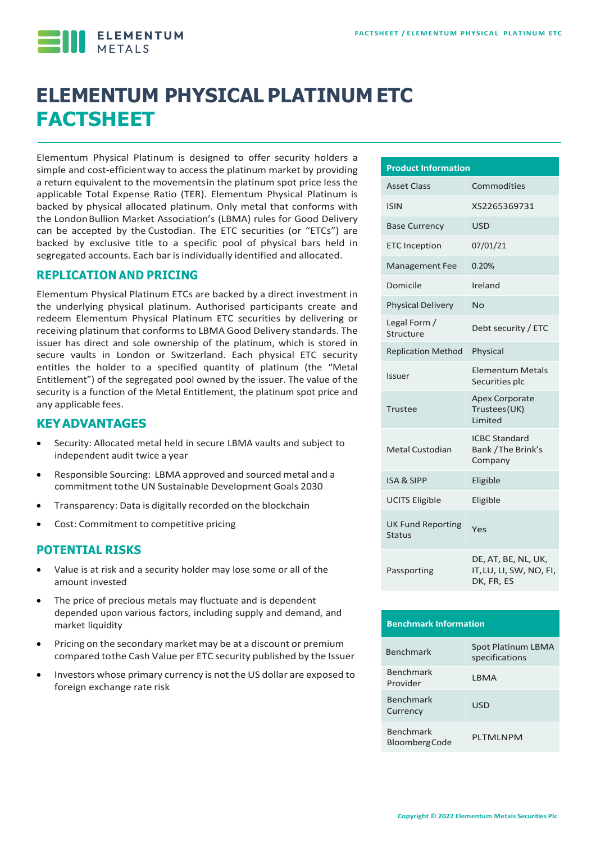**ELEMENTUM** 

# **ELEMENTUM PHYSICAL PLATINUM ETC FACTSHEET**

Elementum Physical Platinum is designed to offer security holders a simple and cost-efficientway to access the platinum market by providing a return equivalent to the movementsin the platinum spot price less the applicable Total Expense Ratio (TER). Elementum Physical Platinum is backed by physical allocated platinum. Only metal that conforms with the LondonBullion Market Association's (LBMA) rules for Good Delivery can be accepted by the Custodian. The ETC securities (or "ETCs") are backed by exclusive title to a specific pool of physical bars held in segregated accounts. Each bar is individually identified and allocated.

#### **REPLICATION AND PRICING**

Elementum Physical Platinum ETCs are backed by a direct investment in the underlying physical platinum. Authorised participants create and redeem Elementum Physical Platinum ETC securities by delivering or receiving platinum that conforms to LBMA Good Delivery standards. The issuer has direct and sole ownership of the platinum, which is stored in secure vaults in London or Switzerland. Each physical ETC security entitles the holder to a specified quantity of platinum (the "Metal Entitlement") of the segregated pool owned by the issuer. The value of the security is a function of the Metal Entitlement, the platinum spot price and any applicable fees.

#### **KEYADVANTAGES**

- Security: Allocated metal held in secure LBMA vaults and subject to independent audit twice a year
- Responsible Sourcing: LBMA approved and sourced metal and a commitment tothe UN Sustainable Development Goals 2030
- Transparency: Data is digitally recorded on the blockchain
- Cost: Commitment to competitive pricing

#### **POTENTIAL RISKS**

- Value is at risk and a security holder may lose some or all of the amount invested
- The price of precious metals may fluctuate and is dependent depended upon various factors, including supply and demand, and market liquidity
- Pricing on the secondary market may be at a discount or premium compared tothe Cash Value per ETC security published by the Issuer
- Investors whose primary currency is not the US dollar are exposed to foreign exchange rate risk

| <b>Product Information</b>                |                                                              |  |  |  |  |
|-------------------------------------------|--------------------------------------------------------------|--|--|--|--|
| <b>Asset Class</b>                        | Commodities                                                  |  |  |  |  |
| <b>ISIN</b>                               | XS2265369731                                                 |  |  |  |  |
| <b>Base Currency</b>                      | <b>USD</b>                                                   |  |  |  |  |
| <b>ETC</b> Inception                      | 07/01/21                                                     |  |  |  |  |
| <b>Management Fee</b>                     | 0.20%                                                        |  |  |  |  |
| Domicile                                  | Ireland                                                      |  |  |  |  |
| <b>Physical Delivery</b>                  | No                                                           |  |  |  |  |
| Legal Form /<br>Structure                 | Debt security / ETC                                          |  |  |  |  |
| <b>Replication Method</b>                 | Physical                                                     |  |  |  |  |
| Issuer                                    | <b>Elementum Metals</b><br>Securities plc                    |  |  |  |  |
| Trustee                                   | <b>Apex Corporate</b><br>Trustees (UK)<br><b>Limited</b>     |  |  |  |  |
| Metal Custodian                           | <b>ICBC Standard</b><br>Bank / The Brink's<br>Company        |  |  |  |  |
| <b>ISA &amp; SIPP</b>                     | Eligible                                                     |  |  |  |  |
| <b>UCITS Eligible</b>                     | Eligible                                                     |  |  |  |  |
| <b>UK Fund Reporting</b><br><b>Status</b> | Yes                                                          |  |  |  |  |
| Passporting                               | DE, AT, BE, NL, UK,<br>IT, LU, LI, SW, NO, FI,<br>DK, FR, ES |  |  |  |  |

#### **Benchmark Information**

| <b>Benchmark</b>                  | Spot Platinum LBMA<br>specifications |
|-----------------------------------|--------------------------------------|
| <b>Benchmark</b><br>Provider      | I BMA                                |
| <b>Benchmark</b><br>Currency      | USD                                  |
| Benchmark<br><b>BloombergCode</b> | PI TMI NPM                           |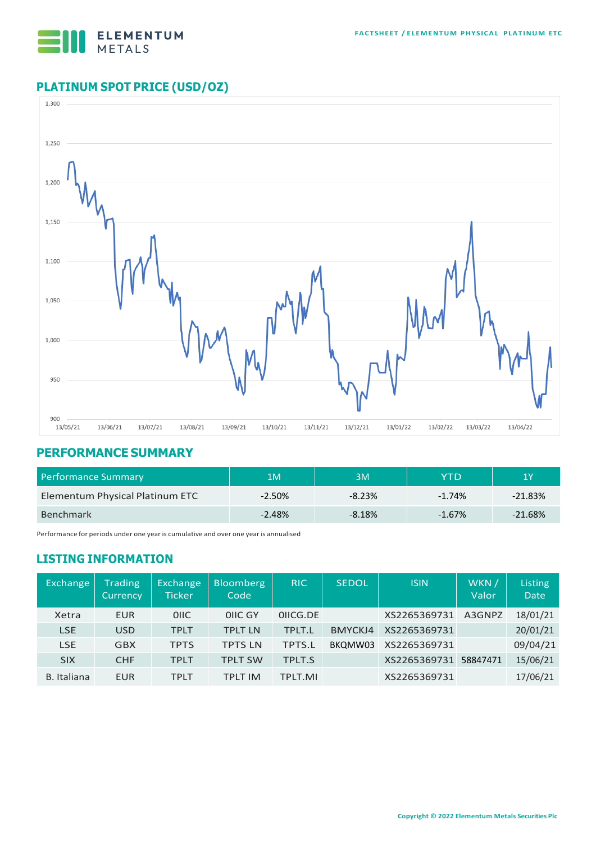

## **PLATINUM SPOT PRICE (USD/OZ)**



#### **PERFORMANCE SUMMARY**

| <b>Performance Summary</b>      | 1M       | 3M       | YTD      | 1Y        |  |
|---------------------------------|----------|----------|----------|-----------|--|
| Elementum Physical Platinum ETC | $-2.50%$ | $-8.23%$ | $-1.74%$ | $-21.83%$ |  |
| <b>Benchmark</b>                | $-2.48%$ | $-8.18%$ | $-1.67%$ | $-21.68%$ |  |

Performance for periods under one year is cumulative and over one year is annualised

### **LISTING INFORMATION**

| <b>Exchange</b> | <b>Trading</b><br><b>Currency</b> | Exchange<br><b>Ticker</b> | <b>Bloomberg</b><br>Code | <b>RIC</b>    | <b>SEDOL</b> | <b>ISIN</b>  | WKN /<br>Valor | Listing<br><b>Date</b> |
|-----------------|-----------------------------------|---------------------------|--------------------------|---------------|--------------|--------------|----------------|------------------------|
| Xetra           | <b>EUR</b>                        | <b>OIIC</b>               | OIIC GY                  | OIICG.DE      |              | XS2265369731 | A3GNPZ         | 18/01/21               |
| <b>LSE</b>      | <b>USD</b>                        | <b>TPLT</b>               | <b>TPLT LN</b>           | TPLT.L        | BMYCKJ4      | XS2265369731 |                | 20/01/21               |
| <b>LSE</b>      | <b>GBX</b>                        | <b>TPTS</b>               | <b>TPTS LN</b>           | <b>TPTS.L</b> | BKQMW03      | XS2265369731 |                | 09/04/21               |
| <b>SIX</b>      | <b>CHF</b>                        | <b>TPLT</b>               | <b>TPLT SW</b>           | <b>TPLT.S</b> |              | XS2265369731 | 58847471       | 15/06/21               |
| B. Italiana     | <b>EUR</b>                        | <b>TPLT</b>               | TPI T IM                 | TPLT.MI       |              | XS2265369731 |                | 17/06/21               |